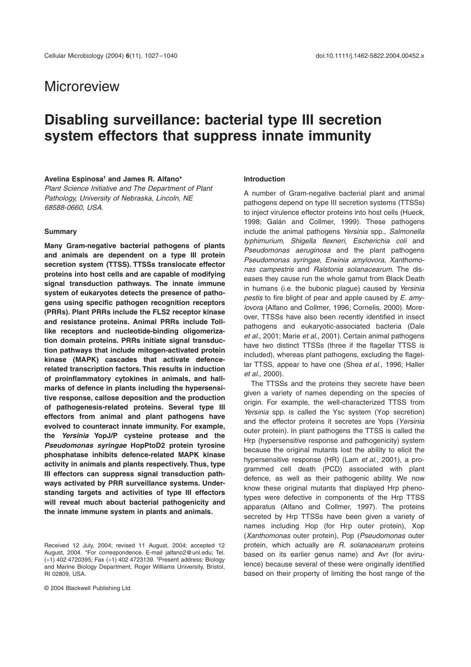# **Microreview**

# **Disabling surveillance: bacterial type III secretion system effectors that suppress innate immunity**

#### **Avelina Espinosa† and James R. Alfano\***

*Plant Science Initiative and The Department of Plant Pathology, University of Nebraska, Lincoln, NE 68588-0660, USA.*

#### **Summary**

**Many Gram-negative bacterial pathogens of plants and animals are dependent on a type III protein secretion system (TTSS). TTSSs translocate effector proteins into host cells and are capable of modifying signal transduction pathways. The innate immune system of eukaryotes detects the presence of pathogens using specific pathogen recognition receptors (PRRs). Plant PRRs include the FLS2 receptor kinase and resistance proteins. Animal PRRs include Tolllike receptors and nucleotide-binding oligomerization domain proteins. PRRs initiate signal transduction pathways that include mitogen-activated protein kinase (MAPK) cascades that activate defencerelated transcription factors. This results in induction of proinflammatory cytokines in animals, and hallmarks of defence in plants including the hypersensitive response, callose deposition and the production of pathogenesis-related proteins. Several type III effectors from animal and plant pathogens have evolved to counteract innate immunity. For example, the** *Yersinia* **YopJ/P cysteine protease and the** *Pseudomonas syringae* **HopPtoD2 protein tyrosine phosphatase inhibits defence-related MAPK kinase activity in animals and plants respectively. Thus, type III effectors can suppress signal transduction pathways activated by PRR surveillance systems. Understanding targets and activities of type III effectors will reveal much about bacterial pathogenicity and the innate immune system in plants and animals.**

© 2004 Blackwell Publishing Ltd

#### **Introduction**

A number of Gram-negative bacterial plant and animal pathogens depend on type III secretion systems (TTSSs) to inject virulence effector proteins into host cells (Hueck, 1998; Galán and Collmer, 1999). These pathogens include the animal pathogens *Yersinia* spp., *Salmonella typhimurium*, *Shigella flexneri*, *Escherichia coli* and *Pseudomonas aeruginosa* and the plant pathogens *Pseudomonas syringae*, *Erwinia amylovora*, *Xanthomonas campestris* and *Ralstonia solanacearum*. The diseases they cause run the whole gamut from Black Death in humans (i.e. the bubonic plague) caused by *Yersinia pestis* to fire blight of pear and apple caused by *E. amylovora* (Alfano and Collmer, 1996; Cornelis, 2000). Moreover, TTSSs have also been recently identified in insect pathogens and eukaryotic-associated bacteria (Dale *et al*., 2001; Marie *et al*., 2001). Certain animal pathogens have two distinct TTSSs (three if the flagellar TTSS is included), whereas plant pathogens, excluding the flagellar TTSS, appear to have one (Shea *et al*., 1996; Haller *et al*., 2000).

The TTSSs and the proteins they secrete have been given a variety of names depending on the species of origin. For example, the well-characterized TTSS from *Yersinia* spp. is called the Ysc system (Yop secretion) and the effector proteins it secretes are Yops (*Yersinia* outer protein). In plant pathogens the TTSS is called the Hrp (hypersensitive response and pathogenicity) system because the original mutants lost the ability to elicit the hypersensitive response (HR) (Lam *et al*., 2001), a programmed cell death (PCD) associated with plant defence, as well as their pathogenic ability. We now know these original mutants that displayed Hrp phenotypes were defective in components of the Hrp TTSS apparatus (Alfano and Collmer, 1997). The proteins secreted by Hrp TTSSs have been given a variety of names including Hop (for Hrp outer protein), Xop (*Xanthomonas* outer protein), Pop (*Pseudomonas* outer protein, which actually are *R. solanacearum* proteins based on its earlier genus name) and Avr (for avirulence) because several of these were originally identified based on their property of limiting the host range of the

Received 12 July, 2004; revised 11 August, 2004; accepted 12 August, 2004. \*For correspondence. E-mail jalfano2@unl.edu; Tel. (+1) 402 4720395; Fax (+1) 402 4723139. † Present address: Biology and Marine Biology Department, Roger Williams University, Bristol, RI 02809, USA.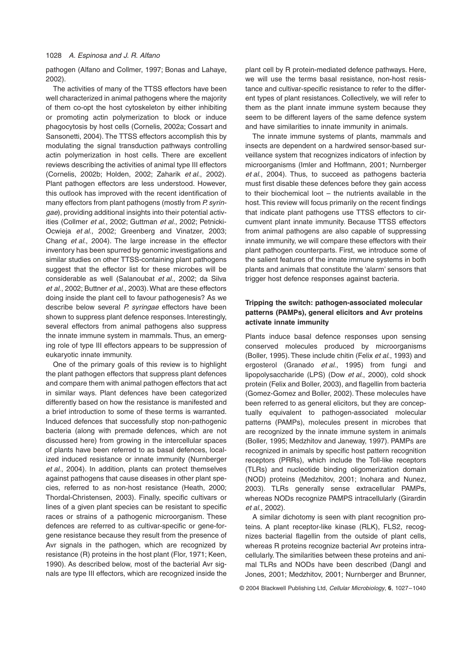pathogen (Alfano and Collmer, 1997; Bonas and Lahaye, 2002).

The activities of many of the TTSS effectors have been well characterized in animal pathogens where the majority of them co-opt the host cytoskeleton by either inhibiting or promoting actin polymerization to block or induce phagocytosis by host cells (Cornelis, 2002a; Cossart and Sansonetti, 2004). The TTSS effectors accomplish this by modulating the signal transduction pathways controlling actin polymerization in host cells. There are excellent reviews describing the activities of animal type III effectors (Cornelis, 2002b; Holden, 2002; Zaharik *et al*., 2002). Plant pathogen effectors are less understood. However, this outlook has improved with the recent identification of many effectors from plant pathogens (mostly from *P. syringae*), providing additional insights into their potential activities (Collmer *et al*., 2002; Guttman *et al*., 2002; Petnicki-Ocwieja *et al*., 2002; Greenberg and Vinatzer, 2003; Chang *et al*., 2004). The large increase in the effector inventory has been spurred by genomic investigations and similar studies on other TTSS-containing plant pathogens suggest that the effector list for these microbes will be considerable as well (Salanoubat *et al*., 2002; da Silva *et al*., 2002; Buttner *et al*., 2003). What are these effectors doing inside the plant cell to favour pathogenesis? As we describe below several *P. syringae* effectors have been shown to suppress plant defence responses. Interestingly, several effectors from animal pathogens also suppress the innate immune system in mammals. Thus, an emerging role of type III effectors appears to be suppression of eukaryotic innate immunity.

One of the primary goals of this review is to highlight the plant pathogen effectors that suppress plant defences and compare them with animal pathogen effectors that act in similar ways. Plant defences have been categorized differently based on how the resistance is manifested and a brief introduction to some of these terms is warranted. Induced defences that successfully stop non-pathogenic bacteria (along with premade defences, which are not discussed here) from growing in the intercellular spaces of plants have been referred to as basal defences, localized induced resistance or innate immunity (Nurnberger *et al*., 2004). In addition, plants can protect themselves against pathogens that cause diseases in other plant species, referred to as non-host resistance (Heath, 2000; Thordal-Christensen, 2003). Finally, specific cultivars or lines of a given plant species can be resistant to specific races or strains of a pathogenic microorganism. These defences are referred to as cultivar-specific or gene-forgene resistance because they result from the presence of Avr signals in the pathogen, which are recognized by resistance (R) proteins in the host plant (Flor, 1971; Keen, 1990). As described below, most of the bacterial Avr signals are type III effectors, which are recognized inside the

plant cell by R protein-mediated defence pathways. Here, we will use the terms basal resistance, non-host resistance and cultivar-specific resistance to refer to the different types of plant resistances. Collectively, we will refer to them as the plant innate immune system because they seem to be different layers of the same defence system and have similarities to innate immunity in animals.

The innate immune systems of plants, mammals and insects are dependent on a hardwired sensor-based surveillance system that recognizes indicators of infection by microorganisms (Imler and Hoffmann, 2001; Nurnberger *et al*., 2004). Thus, to succeed as pathogens bacteria must first disable these defences before they gain access to their biochemical loot – the nutrients available in the host. This review will focus primarily on the recent findings that indicate plant pathogens use TTSS effectors to circumvent plant innate immunity. Because TTSS effectors from animal pathogens are also capable of suppressing innate immunity, we will compare these effectors with their plant pathogen counterparts. First, we introduce some of the salient features of the innate immune systems in both plants and animals that constitute the 'alarm' sensors that trigger host defence responses against bacteria.

## **Tripping the switch: pathogen-associated molecular patterns (PAMPs), general elicitors and Avr proteins activate innate immunity**

Plants induce basal defence responses upon sensing conserved molecules produced by microorganisms (Boller, 1995). These include chitin (Felix *et al*., 1993) and ergosterol (Granado *et al*., 1995) from fungi and lipopolysaccharide (LPS) (Dow *et al*., 2000), cold shock protein (Felix and Boller, 2003), and flagellin from bacteria (Gomez-Gomez and Boller, 2002). These molecules have been referred to as general elicitors, but they are conceptually equivalent to pathogen-associated molecular patterns (PAMPs), molecules present in microbes that are recognized by the innate immune system in animals (Boller, 1995; Medzhitov and Janeway, 1997). PAMPs are recognized in animals by specific host pattern recognition receptors (PRRs), which include the Toll-like receptors (TLRs) and nucleotide binding oligomerization domain (NOD) proteins (Medzhitov, 2001; Inohara and Nunez, 2003). TLRs generally sense extracellular PAMPs, whereas NODs recognize PAMPS intracellularly (Girardin *et al*., 2002).

A similar dichotomy is seen with plant recognition proteins. A plant receptor-like kinase (RLK), FLS2, recognizes bacterial flagellin from the outside of plant cells, whereas R proteins recognize bacterial Avr proteins intracellularly. The similarities between these proteins and animal TLRs and NODs have been described (Dangl and Jones, 2001; Medzhitov, 2001; Nurnberger and Brunner,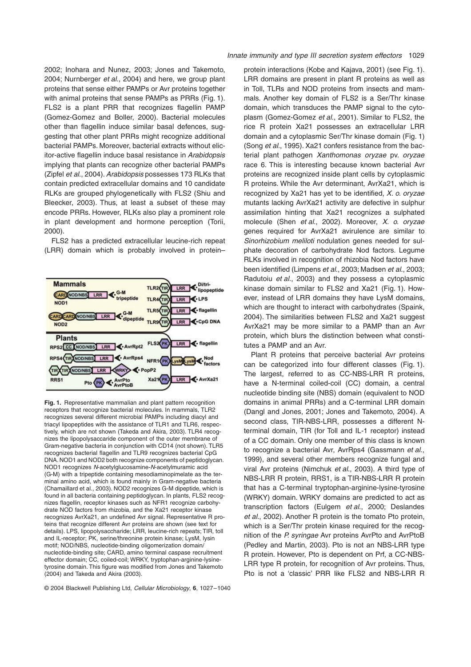2002; Inohara and Nunez, 2003; Jones and Takemoto, 2004; Nurnberger *et al*., 2004) and here, we group plant proteins that sense either PAMPs or Avr proteins together with animal proteins that sense PAMPs as PRRs (Fig. 1). FLS2 is a plant PRR that recognizes flagellin PAMP (Gomez-Gomez and Boller, 2000). Bacterial molecules other than flagellin induce similar basal defences, suggesting that other plant PRRs might recognize additional bacterial PAMPs. Moreover, bacterial extracts without elicitor-active flagellin induce basal resistance in *Arabidopsis* implying that plants can recognize other bacterial PAMPs (Zipfel *et al*., 2004). *Arabidopsis* possesses 173 RLKs that contain predicted extracellular domains and 10 candidate RLKs are grouped phylogenetically with FLS2 (Shiu and Bleecker, 2003). Thus, at least a subset of these may encode PRRs. However, RLKs also play a prominent role in plant development and hormone perception (Torii, 2000).

FLS2 has a predicted extracellular leucine-rich repeat (LRR) domain which is probably involved in protein–



**Fig. 1.** Representative mammalian and plant pattern recognition receptors that recognize bacterial molecules. In mammals, TLR2 recognizes several different microbial PAMPs including diacyl and triacyl lipopeptides with the assistance of TLR1 and TLR6, respectively, which are not shown (Takeda and Akira, 2003). TLR4 recognizes the lipopolysaccaride component of the outer membrane of Gram-negative bacteria in conjunction with CD14 (not shown). TLR5 recognizes bacterial flagellin and TLR9 recognizes bacterial CpG DNA. NOD1 and NOD2 both recognize components of peptidoglycan. NOD1 recognizes *N*-acetylglucosamine-*N*-acetylmuramic acid (G-M) with a tripeptide containing mesodiaminopimelate as the terminal amino acid, which is found mainly in Gram-negative bacteria (Chamaillard et al., 2003). NOD2 recognizes G-M dipeptide, which is found in all bacteria containing peptidoglycan. In plants, FLS2 recognizes flagellin, receptor kinases such as NFR1 recognize carbohydrate NOD factors from rhizobia, and the Xa21 receptor kinase recognizes AvrXa21, an undefined Avr signal. Representative R proteins that recognize different Avr proteins are shown (see text for details). LPS, lipopolysaccharide; LRR, leucine-rich repeats; TIR, toll and IL-receptor; PK, serine/threonine protein kinase; LysM, lysin motif; NOD/NBS, nucleotide-binding oligomerization domain/ nucleotide-binding site; CARD, amino terminal caspase recruitment effector domain; CC, coiled-coil; WRKY, tryptophan-arginine-lysinetyrosine domain. This figure was modified from Jones and Takemoto (2004) and Takeda and Akira (2003).

© 2004 Blackwell Publishing Ltd, *Cellular Microbiology*, **6**, 1027–1040

protein interactions (Kobe and Kajava, 2001) (see Fig. 1). LRR domains are present in plant R proteins as well as in Toll, TLRs and NOD proteins from insects and mammals. Another key domain of FLS2 is a Ser/Thr kinase domain, which transduces the PAMP signal to the cytoplasm (Gomez-Gomez *et al*., 2001). Similar to FLS2, the rice R protein Xa21 possesses an extracellular LRR domain and a cytoplasmic Ser/Thr kinase domain (Fig. 1) (Song *et al*., 1995). Xa21 confers resistance from the bacterial plant pathogen *Xanthomonas oryzae* pv. *oryzae* race 6. This is interesting because known bacterial Avr proteins are recognized inside plant cells by cytoplasmic R proteins. While the Avr determinant, AvrXa21, which is recognized by Xa21 has yet to be identified, *X. o. oryzae* mutants lacking AvrXa21 activity are defective in sulphur assimilation hinting that Xa21 recognizes a sulphated molecule (Shen *et al*., 2002). Moreover, *X. o. oryzae* genes required for AvrXa21 avirulence are similar to *Sinorhizobium meliloti* nodulation genes needed for sulphate decoration of carbohydrate Nod factors. Legume RLKs involved in recognition of rhizobia Nod factors have been identified (Limpens *et al*., 2003; Madsen *et al*., 2003; Radutoiu *et al*., 2003) and they possess a cytoplasmic kinase domain similar to FLS2 and Xa21 (Fig. 1). However, instead of LRR domains they have LysM domains, which are thought to interact with carbohydrates (Spaink, 2004). The similarities between FLS2 and Xa21 suggest AvrXa21 may be more similar to a PAMP than an Avr protein, which blurs the distinction between what constitutes a PAMP and an Avr.

Plant R proteins that perceive bacterial Avr proteins can be categorized into four different classes (Fig. 1). The largest, referred to as CC-NBS-LRR R proteins, have a N-terminal coiled-coil (CC) domain, a central nucleotide binding site (NBS) domain (equivalent to NOD domains in animal PRRs) and a C-terminal LRR domain (Dangl and Jones, 2001; Jones and Takemoto, 2004). A second class, TIR-NBS-LRR, possesses a different Nterminal domain, TIR (for Toll and IL-1 receptor) instead of a CC domain. Only one member of this class is known to recognize a bacterial Avr, AvrRps4 (Gassmann *et al*., 1999), and several other members recognize fungal and viral Avr proteins (Nimchuk *et al*., 2003). A third type of NBS-LRR R protein, RRS1, is a TIR-NBS-LRR R protein that has a C-terminal tryptophan-arginine-lysine-tyrosine (WRKY) domain. WRKY domains are predicted to act as transcription factors (Eulgem *et al*., 2000; Deslandes *et al*., 2002). Another R protein is the tomato Pto protein, which is a Ser/Thr protein kinase required for the recognition of the *P. syringae* Avr proteins AvrPto and AvrPtoB (Pedley and Martin, 2003). Pto is not an NBS-LRR type R protein. However, Pto is dependent on Prf, a CC-NBS-LRR type R protein, for recognition of Avr proteins. Thus, Pto is not a 'classic' PRR like FLS2 and NBS-LRR R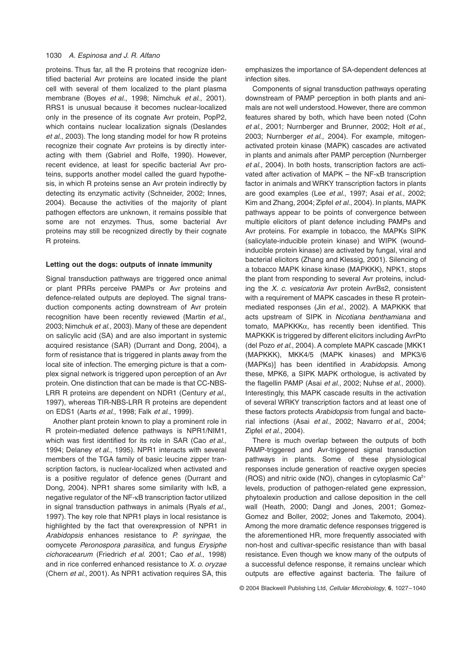#### 1030 *A. Espinosa and J. R. Alfano*

proteins. Thus far, all the R proteins that recognize identified bacterial Avr proteins are located inside the plant cell with several of them localized to the plant plasma membrane (Boyes *et al*., 1998; Nimchuk *et al*., 2001). RRS1 is unusual because it becomes nuclear-localized only in the presence of its cognate Avr protein, PopP2, which contains nuclear localization signals (Deslandes *et al*., 2003). The long standing model for how R proteins recognize their cognate Avr proteins is by directly interacting with them (Gabriel and Rolfe, 1990). However, recent evidence, at least for specific bacterial Avr proteins, supports another model called the guard hypothesis, in which R proteins sense an Avr protein indirectly by detecting its enzymatic activity (Schneider, 2002; Innes, 2004). Because the activities of the majority of plant pathogen effectors are unknown, it remains possible that some are not enzymes. Thus, some bacterial Avr proteins may still be recognized directly by their cognate R proteins.

#### **Letting out the dogs: outputs of innate immunity**

Signal transduction pathways are triggered once animal or plant PRRs perceive PAMPs or Avr proteins and defence-related outputs are deployed. The signal transduction components acting downstream of Avr protein recognition have been recently reviewed (Martin *et al*., 2003; Nimchuk *et al*., 2003). Many of these are dependent on salicylic acid (SA) and are also important in systemic acquired resistance (SAR) (Durrant and Dong, 2004), a form of resistance that is triggered in plants away from the local site of infection. The emerging picture is that a complex signal network is triggered upon perception of an Avr protein. One distinction that can be made is that CC-NBS-LRR R proteins are dependent on NDR1 (Century *et al*., 1997), whereas TIR-NBS-LRR R proteins are dependent on EDS1 (Aarts *et al*., 1998; Falk *et al*., 1999).

Another plant protein known to play a prominent role in R protein-mediated defence pathways is NPR1/NIM1, which was first identified for its role in SAR (Cao *et al*., 1994; Delaney *et al*., 1995). NPR1 interacts with several members of the TGA family of basic leucine zipper transcription factors, is nuclear-localized when activated and is a positive regulator of defence genes (Durrant and Dong, 2004). NPR1 shares some similarity with IkB, a negative regulator of the NF-kB transcription factor utilized in signal transduction pathways in animals (Ryals *et al*., 1997). The key role that NPR1 plays in local resistance is highlighted by the fact that overexpression of NPR1 in *Arabidopsis* enhances resistance to *P. syringae*, the oomycete *Peronospora parasitica*, and fungus *Erysiphe cichoracearum* (Friedrich *et al*. 2001; Cao *et al*., 1998) and in rice conferred enhanced resistance to *X. o. oryzae* (Chern *et al*., 2001). As NPR1 activation requires SA, this

emphasizes the importance of SA-dependent defences at infection sites.

Components of signal transduction pathways operating downstream of PAMP perception in both plants and animals are not well understood. However, there are common features shared by both, which have been noted (Cohn *et al*., 2001; Nurnberger and Brunner, 2002; Holt *et al*., 2003; Nurnberger *et al*., 2004). For example, mitogenactivated protein kinase (MAPK) cascades are activated in plants and animals after PAMP perception (Nurnberger *et al*., 2004). In both hosts, transcription factors are activated after activation of MAPK – the NF-<sub>KB</sub> transcription factor in animals and WRKY transcription factors in plants are good examples (Lee *et al*., 1997; Asai *et al*., 2002; Kim and Zhang, 2004; Zipfel *et al*., 2004). In plants, MAPK pathways appear to be points of convergence between multiple elicitors of plant defence including PAMPs and Avr proteins. For example in tobacco, the MAPKs SIPK (salicylate-inducible protein kinase) and WIPK (woundinducible protein kinase) are activated by fungal, viral and bacterial elicitors (Zhang and Klessig, 2001). Silencing of a tobacco MAPK kinase kinase (MAPKKK), NPK1, stops the plant from responding to several Avr proteins, including the *X. c. vesicatoria* Avr protein AvrBs2, consistent with a requirement of MAPK cascades in these R proteinmediated responses (Jin *et al*., 2002). A MAPKKK that acts upstream of SIPK in *Nicotiana benthamiana* and tomato, MAPKKK $\alpha$ , has recently been identified. This MAPKKK is triggered by different elicitors including AvrPto (del Pozo *et al*., 2004). A complete MAPK cascade [MKK1 (MAPKKK), MKK4/5 (MAPK kinases) and MPK3/6 (MAPKs)] has been identified in *Arabidopsis*. Among these, MPK6, a SIPK MAPK orthologue, is activated by the flagellin PAMP (Asai *et al*., 2002; Nuhse *et al*., 2000). Interestingly, this MAPK cascade results in the activation of several WRKY transcription factors and at least one of these factors protects *Arabidopsis* from fungal and bacterial infections (Asai *et al*., 2002; Navarro *et al*., 2004; Zipfel *et al*., 2004).

There is much overlap between the outputs of both PAMP-triggered and Avr-triggered signal transduction pathways in plants. Some of these physiological responses include generation of reactive oxygen species (ROS) and nitric oxide (NO), changes in cytoplasmic  $Ca^{2+}$ levels, production of pathogen-related gene expression, phytoalexin production and callose deposition in the cell wall (Heath, 2000; Dangl and Jones, 2001; Gomez-Gomez and Boller, 2002; Jones and Takemoto, 2004). Among the more dramatic defence responses triggered is the aforementioned HR, more frequently associated with non-host and cultivar-specific resistance than with basal resistance. Even though we know many of the outputs of a successful defence response, it remains unclear which outputs are effective against bacteria. The failure of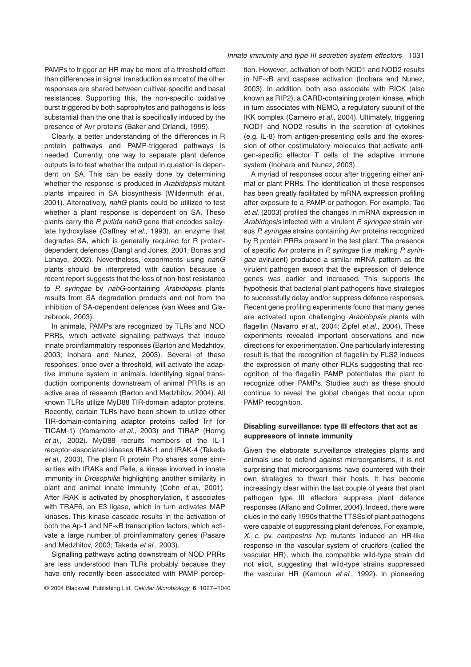PAMPs to trigger an HR may be more of a threshold effect than differences in signal transduction as most of the other responses are shared between cultivar-specific and basal resistances. Supporting this, the non-specific oxidative burst triggered by both saprophytes and pathogens is less substantial than the one that is specifically induced by the presence of Avr proteins (Baker and Orlandi, 1995).

Clearly, a better understanding of the differences in R protein pathways and PAMP-triggered pathways is needed. Currently, one way to separate plant defence outputs is to test whether the output in question is dependent on SA. This can be easily done by determining whether the response is produced in *Arabidopsis* mutant plants impaired in SA biosynthesis (Wildermuth *et al*., 2001). Alternatively, *nahG* plants could be utilized to test whether a plant response is dependent on SA. These plants carry the *P. putida nahG* gene that encodes salicylate hydroxylase (Gaffney *et al*., 1993), an enzyme that degrades SA, which is generally required for R proteindependent defences (Dangl and Jones, 2001; Bonas and Lahaye, 2002). Nevertheless, experiments using *nahG* plants should be interpreted with caution because a recent report suggests that the loss of non-host resistance to *P. syringae* by *nahG*-containing *Arabidopsis* plants results from SA degradation products and not from the inhibition of SA-dependent defences (van Wees and Glazebrook, 2003).

In animals, PAMPs are recognized by TLRs and NOD PRRs, which activate signalling pathways that induce innate proinflammatory responses (Barton and Medzhitov, 2003; Inohara and Nunez, 2003). Several of these responses, once over a threshold, will activate the adaptive immune system in animals. Identifying signal transduction components downstream of animal PRRs is an active area of research (Barton and Medzhitov, 2004). All known TLRs utilize MyD88 TIR-domain adaptor proteins. Recently, certain TLRs have been shown to utilize other TIR-domain-containing adaptor proteins called Trif (or TICAM-1) (Yamamoto *et al*., 2003) and TIRAP (Horng *et al*., 2002). MyD88 recruits members of the IL-1 receptor-associated kinases IRAK-1 and IRAK-4 (Takeda *et al*., 2003). The plant R protein Pto shares some similarities with IRAKs and Pelle, a kinase involved in innate immunity in *Drosophilia* highlighting another similarity in plant and animal innate immunity (Cohn *et al*., 2001). After IRAK is activated by phosphorylation, it associates with TRAF6, an E3 ligase, which in turn activates MAP kinases. This kinase cascade results in the activation of both the Ap-1 and NF-kB transcription factors, which activate a large number of proinflammatory genes (Pasare and Medzhitov, 2003; Takeda *et al*., 2003).

Signalling pathways acting downstream of NOD PRRs are less understood than TLRs probably because they have only recently been associated with PAMP perception. However, activation of both NOD1 and NOD2 results in NF-kB and caspase activation (Inohara and Nunez, 2003). In addition, both also associate with RICK (also known as RIP2), a CARD-containing protein kinase, which in turn associates with NEMO, a regulatory subunit of the IKK complex (Carneiro *et al*., 2004). Ultimately, triggering NOD1 and NOD2 results in the secretion of cytokines (e.g. IL-8) from antigen-presenting cells and the expression of other costimulatory molecules that activate antigen-specific effector T cells of the adaptive immune system (Inohara and Nunez, 2003).

A myriad of responses occur after triggering either animal or plant PRRs. The identification of these responses has been greatly facilitated by mRNA expression profiling after exposure to a PAMP or pathogen. For example, Tao *et al*. (2003) profiled the changes in mRNA expression in *Arabidopsis* infected with a virulent *P. syringae* strain versus *P. syringae* strains containing Avr proteins recognized by R protein PRRs present in the test plant. The presence of specific Avr proteins in *P. syringae* (i.e. making *P. syringae* avirulent) produced a similar mRNA pattern as the virulent pathogen except that the expression of defence genes was earlier and increased. This supports the hypothesis that bacterial plant pathogens have strategies to successfully delay and/or suppress defence responses. Recent gene profiling experiments found that many genes are activated upon challenging *Arabidopsis* plants with flagellin (Navarro *et al*., 2004; Zipfel *et al*., 2004). These experiments revealed important observations and new directions for experimentation. One particularly interesting result is that the recognition of flagellin by FLS2 induces the expression of many other RLKs suggesting that recognition of the flagellin PAMP potentiates the plant to recognize other PAMPs. Studies such as these should continue to reveal the global changes that occur upon PAMP recognition.

### **Disabling surveillance: type III effectors that act as suppressors of innate immunity**

Given the elaborate surveillance strategies plants and animals use to defend against microorganisms, it is not surprising that microorganisms have countered with their own strategies to thwart their hosts. It has become increasingly clear within the last couple of years that plant pathogen type III effectors suppress plant defence responses (Alfano and Collmer, 2004). Indeed, there were clues in the early 1990s that the TTSSs of plant pathogens were capable of suppressing plant defences. For example, *X. c.* pv. *campestris hrp* mutants induced an HR-like response in the vascular system of crucifers (called the vascular HR), which the compatible wild-type strain did not elicit, suggesting that wild-type strains suppressed the vascular HR (Kamoun *et al*., 1992). In pioneering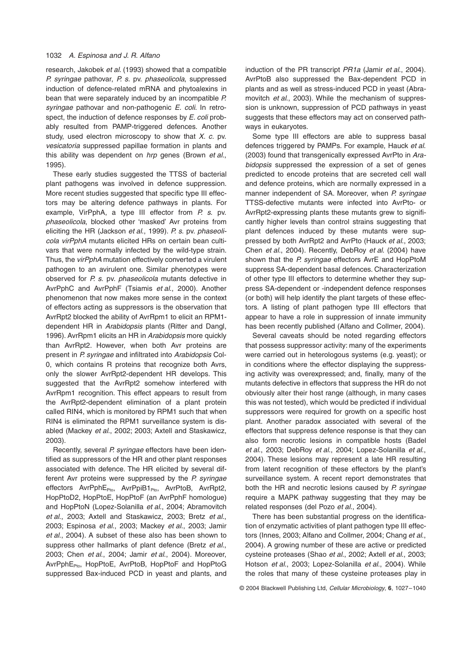research, Jakobek *et al*. (1993) showed that a compatible *P. syringae* pathovar, *P. s.* pv. *phaseolicola*, suppressed induction of defence-related mRNA and phytoalexins in bean that were separately induced by an incompatible *P. syringae* pathovar and non-pathogenic *E. coli*. In retrospect, the induction of defence responses by *E. coli* probably resulted from PAMP-triggered defences. Another study, used electron microscopy to show that *X. c.* pv. *vesicatoria* suppressed papillae formation in plants and this ability was dependent on *hrp* genes (Brown *et al*., 1995).

These early studies suggested the TTSS of bacterial plant pathogens was involved in defence suppression. More recent studies suggested that specific type III effectors may be altering defence pathways in plants. For example, VirPphA, a type III effector from *P. s.* pv. *phaseolicola*, blocked other 'masked' Avr proteins from eliciting the HR (Jackson *et al*., 1999). *P. s.* pv. *phaseolicola virPphA* mutants elicited HRs on certain bean cultivars that were normally infected by the wild-type strain. Thus, the *virPphA* mutation effectively converted a virulent pathogen to an avirulent one. Similar phenotypes were observed for *P. s.* pv. *phaseolicola* mutants defective in AvrPphC and AvrPphF (Tsiamis *et al*., 2000). Another phenomenon that now makes more sense in the context of effectors acting as suppressors is the observation that AvrRpt2 blocked the ability of AvrRpm1 to elicit an RPM1 dependent HR in *Arabidopsis* plants (Ritter and Dangl, 1996). AvrRpm1 elicits an HR in *Arabidopsis* more quickly than AvrRpt2. However, when both Avr proteins are present in *P. syringae* and infiltrated into *Arabidopsis* Col-0, which contains R proteins that recognize both Avrs, only the slower AvrRpt2-dependent HR develops. This suggested that the AvrRpt2 somehow interfered with AvrRpm1 recognition. This effect appears to result from the AvrRpt2-dependent elimination of a plant protein called RIN4, which is monitored by RPM1 such that when RIN4 is eliminated the RPM1 surveillance system is disabled (Mackey *et al*., 2002; 2003; Axtell and Staskawicz, 2003).

Recently, several *P. syringae* effectors have been identified as suppressors of the HR and other plant responses associated with defence. The HR elicited by several different Avr proteins were suppressed by the *P. syringae* effectors AvrPphE<sub>Pto</sub>, AvrPpiB1<sub>Pto</sub>, AvrPtoB, AvrRpt2, HopPtoD2, HopPtoE, HopPtoF (an AvrPphF homologue) and HopPtoN (Lopez-Solanilla *et al*., 2004; Abramovitch *et al*., 2003; Axtell and Staskawicz, 2003; Bretz *et al*., 2003; Espinosa *et al*., 2003; Mackey *et al*., 2003; Jamir *et al*., 2004). A subset of these also has been shown to suppress other hallmarks of plant defence (Bretz *et al*., 2003; Chen *et al*., 2004; Jamir *et al*., 2004). Moreover, AvrPphE<sub>Pto</sub>, HopPtoE, AvrPtoB, HopPtoF and HopPtoG suppressed Bax-induced PCD in yeast and plants, and induction of the PR transcript *PR1a* (Jamir *et al*., 2004). AvrPtoB also suppressed the Bax-dependent PCD in plants and as well as stress-induced PCD in yeast (Abramovitch *et al*., 2003). While the mechanism of suppression is unknown, suppression of PCD pathways in yeast suggests that these effectors may act on conserved pathways in eukaryotes.

Some type III effectors are able to suppress basal defences triggered by PAMPs. For example, Hauck *et al*. (2003) found that transgenically expressed AvrPto in *Arabidopsis* suppressed the expression of a set of genes predicted to encode proteins that are secreted cell wall and defence proteins, which are normally expressed in a manner independent of SA. Moreover, when *P. syringae* TTSS-defective mutants were infected into AvrPto- or AvrRpt2-expressing plants these mutants grew to significantly higher levels than control strains suggesting that plant defences induced by these mutants were suppressed by both AvrRpt2 and AvrPto (Hauck *et al*., 2003; Chen *et al*., 2004). Recently, DebRoy *et al*. (2004) have shown that the *P. syringae* effectors AvrE and HopPtoM suppress SA-dependent basal defences. Characterization of other type III effectors to determine whether they suppress SA-dependent or -independent defence responses (or both) will help identify the plant targets of these effectors. A listing of plant pathogen type III effectors that appear to have a role in suppression of innate immunity has been recently published (Alfano and Collmer, 2004).

Several caveats should be noted regarding effectors that possess suppressor activity: many of the experiments were carried out in heterologous systems (e.g. yeast); or in conditions where the effector displaying the suppressing activity was overexpressed; and, finally, many of the mutants defective in effectors that suppress the HR do not obviously alter their host range (although, in many cases this was not tested), which would be predicted if individual suppressors were required for growth on a specific host plant. Another paradox associated with several of the effectors that suppress defence response is that they can also form necrotic lesions in compatible hosts (Badel *et al*., 2003; DebRoy *et al*., 2004; Lopez-Solanilla *et al*., 2004). These lesions may represent a late HR resulting from latent recognition of these effectors by the plant's surveillance system. A recent report demonstrates that both the HR and necrotic lesions caused by *P. syringae* require a MAPK pathway suggesting that they may be related responses (del Pozo *et al*., 2004).

There has been substantial progress on the identification of enzymatic activities of plant pathogen type III effectors (Innes, 2003; Alfano and Collmer, 2004; Chang *et al*., 2004). A growing number of these are active or predicted cysteine proteases (Shao *et al*., 2002; Axtell *et al*., 2003; Hotson *et al*., 2003; Lopez-Solanilla *et al*., 2004). While the roles that many of these cysteine proteases play in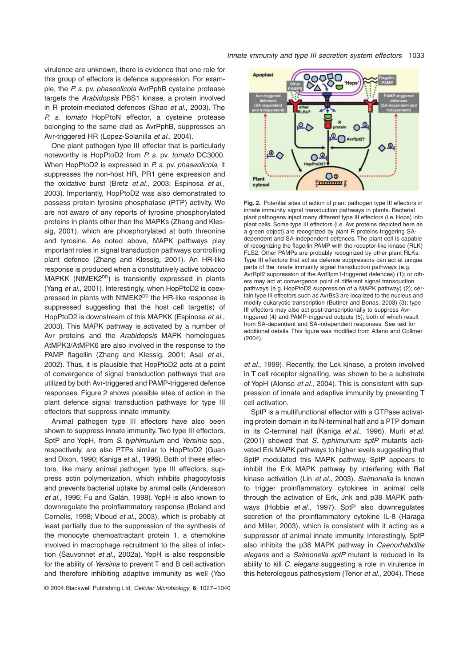virulence are unknown, there is evidence that one role for this group of effectors is defence suppression. For example, the *P. s.* pv. *phaseolicola* AvrPphB cysteine protease targets the *Arabidopsis* PBS1 kinase, a protein involved in R protein-mediated defences (Shao *et al*., 2003). The *P. s. tomato* HopPtoN effector, a cysteine protease belonging to the same clad as AvrPphB, suppresses an Avr-triggered HR (Lopez-Solanilla *et al*., 2004).

One plant pathogen type III effector that is particularly noteworthy is HopPtoD2 from *P. s.* pv. *tomato* DC3000. When HopPtoD2 is expressed in *P. s.* pv. *phaseolicola*, it suppresses the non-host HR, PR1 gene expression and the oxidative burst (Bretz *et al*., 2003; Espinosa *et al*., 2003). Importantly, HopPtoD2 was also demonstrated to possess protein tyrosine phosphatase (PTP) activity. We are not aware of any reports of tyrosine phosphorylated proteins in plants other than the MAPKs (Zhang and Klessig, 2001), which are phosphorylated at both threonine and tyrosine. As noted above, MAPK pathways play important roles in signal transduction pathways controlling plant defence (Zhang and Klessig, 2001). An HR-like response is produced when a constitutively active tobacco  $MAPKK$  (NtMEK2<sup>DD</sup>) is transiently expressed in plants (Yang *et al*., 2001). Interestingly, when HopPtoD2 is coexpressed in plants with NtMEK2<sup>DD</sup> the HR-like response is suppressed suggesting that the host cell target(s) of HopPtoD2 is downstream of this MAPKK (Espinosa *et al*., 2003). This MAPK pathway is activated by a number of Avr proteins and the *Arabidopsis* MAPK homologues AtMPK3/AtMPK6 are also involved in the response to the PAMP flagellin (Zhang and Klessig, 2001; Asai *et al*., 2002). Thus, it is plausible that HopPtoD2 acts at a point of convergence of signal transduction pathways that are utilized by both Avr-triggered and PAMP-triggered defence responses. Figure 2 shows possible sites of action in the plant defence signal transduction pathways for type III effectors that suppress innate immunity.

Animal pathogen type III effectors have also been shown to suppress innate immunity. Two type III effectors, SptP and YopH, from *S. typhimurium* and *Yersinia* spp., respectively, are also PTPs similar to HopPtoD2 (Guan and Dixon, 1990; Kaniga *et al*., 1996). Both of these effectors, like many animal pathogen type III effectors, suppress actin polymerization, which inhibits phagocytosis and prevents bacterial uptake by animal cells (Andersson *et al*., 1996; Fu and Galán, 1998). YopH is also known to downregulate the proinflammatory response (Boland and Cornelis, 1998; Viboud *et al*., 2003), which is probably at least partially due to the suppression of the synthesis of the monocyte chemoattractant protein 1, a chemokine involved in macrophage recruitment to the sites of infection (Sauvonnet *et al*., 2002a). YopH is also responsible for the ability of *Yersinia* to prevent T and B cell activation and therefore inhibiting adaptive immunity as well (Yao



**Fig. 2.** Potential sites of action of plant pathogen type III effectors in innate immunity signal transduction pathways in plants. Bacterial plant pathogens inject many different type III effectors (i.e. Hops) into plant cells. Some type III effectors (i.e. Avr proteins depicted here as a green object) are recognized by plant R proteins triggering SAdependent and SA-independent defences. The plant cell is capable of recognizing the flagellin PAMP with the receptor-like kinase (RLK) FLS2. Other PAMPs are probably recognized by other plant RLKs. Type III effectors that act as defence suppressors can act at unique parts of the innate immunity signal transduction pathways (e.g. AvrRpt2 suppression of the AvrRpm1-triggered defences) (1); or others may act at convergence point of different signal transduction pathways (e.g. HopPtoD2 suppression of a MAPK pathway) (2); certain type III effectors such as AvrBs3 are localized to the nucleus and modify eukaryotic transcription (Buttner and Bonas, 2003) (3); type III effectors may also act post-transcriptionally to suppress Avrtriggered (4) and PAMP-triggered outputs (5), both of which result from SA-dependent and SA-independent responses. See text for additional details. This figure was modified from Alfano and Collmer (2004).

*et al*., 1999). Recently, the Lck kinase, a protein involved in T cell receptor signalling, was shown to be a substrate of YopH (Alonso *et al*., 2004). This is consistent with suppression of innate and adaptive immunity by preventing T cell activation.

SptP is a multifunctional effector with a GTPase activating protein domain in its N-terminal half and a PTP domain in its C-terminal half (Kaniga *et al*., 1996). Murli *et al*. (2001) showed that *S. typhimurium sptP* mutants activated Erk MAPK pathways to higher levels suggesting that SptP modulated this MAPK pathway. SptP appears to inhibit the Erk MAPK pathway by interfering with Raf kinase activation (Lin *et al*., 2003). *Salmonella* is known to trigger proinflammatory cytokines in animal cells through the activation of Erk, Jnk and p38 MAPK pathways (Hobbie *et al*., 1997). SptP also downregulates secretion of the proinflammatory cytokine IL-8 (Haraga and Miller, 2003), which is consistent with it acting as a suppressor of animal innate immunity. Interestingly, SptP also inhibits the p38 MAPK pathway in *Caenorhabditis elegans* and a *Salmonella sptP* mutant is reduced in its ability to kill *C. elegans* suggesting a role in virulence in this heterologous pathosystem (Tenor *et al*., 2004). These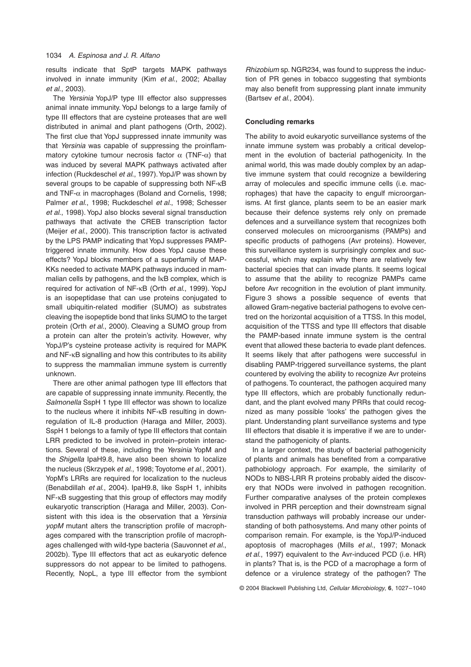results indicate that SptP targets MAPK pathways involved in innate immunity (Kim *et al*., 2002; Aballay *et al*., 2003).

The *Yersinia* YopJ/P type III effector also suppresses animal innate immunity. YopJ belongs to a large family of type III effectors that are cysteine proteases that are well distributed in animal and plant pathogens (Orth, 2002). The first clue that YopJ suppressed innate immunity was that *Yersinia* was capable of suppressing the proinflammatory cytokine tumour necrosis factor  $\alpha$  (TNF- $\alpha$ ) that was induced by several MAPK pathways activated after infection (Ruckdeschel *et al*., 1997). YopJ/P was shown by several groups to be capable of suppressing both NF- $\kappa$ B and TNF- $\alpha$  in macrophages (Boland and Cornelis, 1998; Palmer *et al*., 1998; Ruckdeschel *et al*., 1998; Schesser *et al*., 1998). YopJ also blocks several signal transduction pathways that activate the CREB transcription factor (Meijer *et al*., 2000). This transcription factor is activated by the LPS PAMP indicating that YopJ suppresses PAMPtriggered innate immunity. How does YopJ cause these effects? YopJ blocks members of a superfamily of MAP-KKs needed to activate MAPK pathways induced in mammalian cells by pathogens, and the I<sub>KB</sub> complex, which is required for activation of NF-kB (Orth *et al*., 1999). YopJ is an isopeptidase that can use proteins conjugated to small ubiquitin-related modifier (SUMO) as substrates cleaving the isopeptide bond that links SUMO to the target protein (Orth *et al*., 2000). Cleaving a SUMO group from a protein can alter the protein's activity. However, why YopJ/P's cysteine protease activity is required for MAPK and NF-<sub>K</sub>B signalling and how this contributes to its ability to suppress the mammalian immune system is currently unknown.

There are other animal pathogen type III effectors that are capable of suppressing innate immunity. Recently, the *Salmonella* SspH 1 type III effector was shown to localize to the nucleus where it inhibits NF-kB resulting in downregulation of IL-8 production (Haraga and Miller, 2003). SspH 1 belongs to a family of type III effectors that contain LRR predicted to be involved in protein–protein interactions. Several of these, including the *Yersinia* YopM and the *Shigella* IpaH9.8, have also been shown to localize the nucleus (Skrzypek *et al*., 1998; Toyotome *et al*., 2001). YopM's LRRs are required for localization to the nucleus (Benabdillah *et al*., 2004). IpaH9.8, like SspH 1, inhibits NF-kB suggesting that this group of effectors may modify eukaryotic transcription (Haraga and Miller, 2003). Consistent with this idea is the observation that a *Yersinia yopM* mutant alters the transcription profile of macrophages compared with the transcription profile of macrophages challenged with wild-type bacteria (Sauvonnet *et al*., 2002b). Type III effectors that act as eukaryotic defence suppressors do not appear to be limited to pathogens. Recently, NopL, a type III effector from the symbiont

*Rhizobium* sp. NGR234, was found to suppress the induction of PR genes in tobacco suggesting that symbionts may also benefit from suppressing plant innate immunity (Bartsev *et al*., 2004).

#### **Concluding remarks**

The ability to avoid eukaryotic surveillance systems of the innate immune system was probably a critical development in the evolution of bacterial pathogenicity. In the animal world, this was made doubly complex by an adaptive immune system that could recognize a bewildering array of molecules and specific immune cells (i.e. macrophages) that have the capacity to engulf microorganisms. At first glance, plants seem to be an easier mark because their defence systems rely only on premade defences and a surveillance system that recognizes both conserved molecules on microorganisms (PAMPs) and specific products of pathogens (Avr proteins). However, this surveillance system is surprisingly complex and successful, which may explain why there are relatively few bacterial species that can invade plants. It seems logical to assume that the ability to recognize PAMPs came before Avr recognition in the evolution of plant immunity. Figure 3 shows a possible sequence of events that allowed Gram-negative bacterial pathogens to evolve centred on the horizontal acquisition of a TTSS. In this model, acquisition of the TTSS and type III effectors that disable the PAMP-based innate immune system is the central event that allowed these bacteria to evade plant defences. It seems likely that after pathogens were successful in disabling PAMP-triggered surveillance systems, the plant countered by evolving the ability to recognize Avr proteins of pathogens. To counteract, the pathogen acquired many type III effectors, which are probably functionally redundant, and the plant evolved many PRRs that could recognized as many possible 'looks' the pathogen gives the plant. Understanding plant surveillance systems and type III effectors that disable it is imperative if we are to understand the pathogenicity of plants.

In a larger context, the study of bacterial pathogenicity of plants and animals has benefited from a comparative pathobiology approach. For example, the similarity of NODs to NBS-LRR R proteins probably aided the discovery that NODs were involved in pathogen recognition. Further comparative analyses of the protein complexes involved in PRR perception and their downstream signal transduction pathways will probably increase our understanding of both pathosystems. And many other points of comparison remain. For example, is the YopJ/P-induced apoptosis of macrophages (Mills *et al*., 1997; Monack *et al*., 1997) equivalent to the Avr-induced PCD (i.e. HR) in plants? That is, is the PCD of a macrophage a form of defence or a virulence strategy of the pathogen? The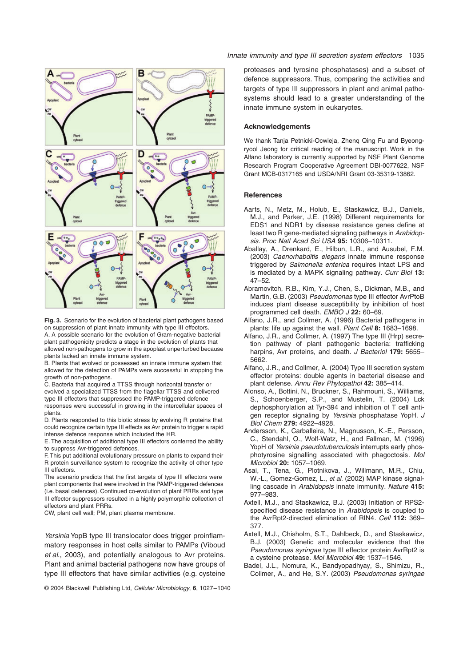

**Fig. 3.** Scenario for the evolution of bacterial plant pathogens based on suppression of plant innate immunity with type III effectors.

A. A possible scenario for the evolution of Gram-negative bacterial plant pathogenicity predicts a stage in the evolution of plants that allowed non-pathogens to grow in the apoplast unperturbed because plants lacked an innate immune system.

B. Plants that evolved or possessed an innate immune system that allowed for the detection of PAMPs were successful in stopping the growth of non-pathogens.

C. Bacteria that acquired a TTSS through horizontal transfer or evolved a specialized TTSS from the flagellar TTSS and delivered type III effectors that suppressed the PAMP-triggered defence responses were successful in growing in the intercellular spaces of plants.

D. Plants responded to this biotic stress by evolving R proteins that could recognize certain type III effects as Avr protein to trigger a rapid intense defence response which included the HR.

E. The acquisition of additional type III effectors conferred the ability to suppress Avr-triggered defences.

F. This put additional evolutionary pressure on plants to expand their R protein surveillance system to recognize the activity of other type III effectors.

The scenario predicts that the first targets of type III effectors were plant components that were involved in the PAMP-triggered defences (i.e. basal defences). Continued co-evolution of plant PRRs and type III effector suppressors resulted in a highly polymorphic collection of effectors and plant PRRs.

CW, plant cell wall; PM, plant plasma membrane.

*Yersinia* YopB type III translocator does trigger proinflammatory responses in host cells similar to PAMPs (Viboud *et al*., 2003), and potentially analogous to Avr proteins. Plant and animal bacterial pathogens now have groups of type III effectors that have similar activities (e.g. cysteine

© 2004 Blackwell Publishing Ltd, *Cellular Microbiology*, **6**, 1027–1040

proteases and tyrosine phosphatases) and a subset of defence suppressors. Thus, comparing the activities and targets of type III suppressors in plant and animal pathosystems should lead to a greater understanding of the innate immune system in eukaryotes.

### **Acknowledgements**

We thank Tanja Petnicki-Ocwieja, Zhenq Qing Fu and Byeongryool Jeong for critical reading of the manuscript. Work in the Alfano laboratory is currently supported by NSF Plant Genome Research Program Cooperative Agreement DBI-0077622, NSF Grant MCB-0317165 and USDA/NRI Grant 03-35319-13862.

#### **References**

- Aarts, N., Metz, M., Holub, E., Staskawicz, B.J., Daniels, M.J., and Parker, J.E. (1998) Different requirements for EDS1 and NDR1 by disease resistance genes define at least two R gene-mediated signaling pathways in *Arabidopsis*. *Proc Natl Acad Sci USA* **95:** 10306–10311.
- Aballay, A., Drenkard, E., Hilbun, L.R., and Ausubel, F.M. (2003) *Caenorhabditis elegans* innate immune response triggered by *Salmonella enterica* requires intact LPS and is mediated by a MAPK signaling pathway. *Curr Biol* **13:** 47–52.
- Abramovitch, R.B., Kim, Y.J., Chen, S., Dickman, M.B., and Martin, G.B. (2003) *Pseudomonas* type III effector AvrPtoB induces plant disease susceptibility by inhibition of host programmed cell death. *EMBO J* **22:** 60–69.
- Alfano, J.R., and Collmer, A. (1996) Bacterial pathogens in plants: life up against the wall. *Plant Cell* **8:** 1683–1698.
- Alfano, J.R., and Collmer, A. (1997) The type III (Hrp) secretion pathway of plant pathogenic bacteria: trafficking harpins, Avr proteins, and death. *J Bacteriol* **179:** 5655– 5662.
- Alfano, J.R., and Collmer, A. (2004) Type III secretion system effector proteins: double agents in bacterial disease and plant defense. *Annu Rev Phytopathol* **42:** 385–414.
- Alonso, A., Bottini, N., Bruckner, S., Rahmouni, S., Williams, S., Schoenberger, S.P., and Mustelin, T. (2004) Lck dephosphorylation at Tyr-394 and inhibition of T cell antigen receptor signaling by *Yersinia* phosphatase YopH. *J Biol Chem* **279:** 4922–4928.
- Andersson, K., Carballeira, N., Magnusson, K.-E., Persson, C., Stendahl, O., Wolf-Watz, H., and Fallman, M. (1996) YopH of *Yersinia pseudotuberculosis* interrupts early phosphotyrosine signalling associated with phagoctosis. *Mol Microbiol* **20:** 1057–1069.
- Asai, T., Tena, G., Plotnikova, J., Willmann, M.R., Chiu, W.-L., Gomez-Gomez, L., *et al.* (2002) MAP kinase signalling cascade in *Arabidopsis* innate immunity. *Nature* **415:** 977–983.
- Axtell, M.J., and Staskawicz, B.J. (2003) Initiation of RPS2 specified disease resistance in *Arabidopsis* is coupled to the AvrRpt2-directed elimination of RIN4. *Cell* **112:** 369– 377.
- Axtell, M.J., Chisholm, S.T., Dahlbeck, D., and Staskawicz, B.J. (2003) Genetic and molecular evidence that the *Pseudomonas syringae* type III effector protein AvrRpt2 is a cysteine protease. *Mol Microbiol* **49:** 1537–1546.
- Badel, J.L., Nomura, K., Bandyopadhyay, S., Shimizu, R., Collmer, A., and He, S.Y. (2003) *Pseudomonas syringae*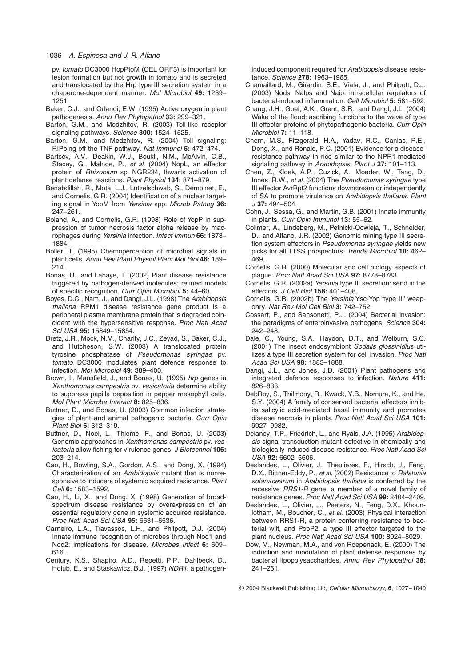#### 1036 *A. Espinosa and J. R. Alfano*

pv. *tomato* DC3000 HopPtoM (CEL ORF3) is important for lesion formation but not growth in tomato and is secreted and translocated by the Hrp type III secretion system in a chaperone-dependent manner. *Mol Microbiol* **49:** 1239– 1251.

- Baker, C.J., and Orlandi, E.W. (1995) Active oxygen in plant pathogenesis. *Annu Rev Phytopathol* **33:** 299–321.
- Barton, G.M., and Medzhitov, R. (2003) Toll-like receptor signaling pathways. *Science* **300:** 1524–1525.
- Barton, G.M., and Medzhitov, R. (2004) Toll signaling: RIPping off the TNF pathway. *Nat Immunol* **5:** 472–474.
- Bartsev, A.V., Deakin, W.J., Boukli, N.M., McAlvin, C.B., Stacey, G., Malnoe, P., *et al.* (2004) NopL, an effector protein of *Rhizobium* sp. NGR234, thwarts activation of plant defense reactions. *Plant Physiol* **134:** 871–879.
- Benabdillah, R., Mota, L.J., Lutzelschwab, S., Demoinet, E., and Cornelis, G.R. (2004) Identification of a nuclear targeting signal in YopM from *Yersinia* spp. *Microb Pathog* **36:** 247–261.
- Boland, A., and Cornelis, G.R. (1998) Role of YopP in suppression of tumor necrosis factor alpha release by macrophages during *Yersinia* infection. *Infect Immun* **66:** 1878– 1884.
- Boller, T. (1995) Chemoperception of microbial signals in plant cells. *Annu Rev Plant Physiol Plant Mol Biol* **46:** 189– 214.
- Bonas, U., and Lahaye, T. (2002) Plant disease resistance triggered by pathogen-derived molecules: refined models of specific recognition. *Curr Opin Microbiol* **5:** 44–60.
- Boyes, D.C., Nam, J., and Dangl, J.L. (1998) The *Arabidopsis thaliana* RPM1 disease resistance gene product is a peripheral plasma membrane protein that is degraded coincident with the hypersensitive response. *Proc Natl Acad Sci USA* **95:** 15849–15854.
- Bretz, J.R., Mock, N.M., Charity, J.C., Zeyad, S., Baker, C.J., and Hutcheson, S.W. (2003) A translocated protein tyrosine phosphatase of *Pseudomonas syringae* pv. *tomato* DC3000 modulates plant defence response to infection. *Mol Microbiol* **49:** 389–400.
- Brown, I., Mansfield, J., and Bonas, U. (1995) *hrp* genes in *Xanthomonas campestris* pv. *vesicatoria* determine ability to suppress papilla deposition in pepper mesophyll cells. *Mol Plant Microbe Interact* **8:** 825–836.
- Buttner, D., and Bonas, U. (2003) Common infection strategies of plant and animal pathogenic bacteria. *Curr Opin Plant Biol* **6:** 312–319.
- Buttner, D., Noel, L., Thieme, F., and Bonas, U. (2003) Genomic approaches in *Xanthomonas campestris* pv. *vesicatoria* allow fishing for virulence genes. *J Biotechnol* **106:** 203–214.
- Cao, H., Bowling, S.A., Gordon, A.S., and Dong, X. (1994) Characterization of an *Arabidopsis* mutant that is nonresponsive to inducers of systemic acquired resistance. *Plant Cell* **6:** 1583–1592.
- Cao, H., Li, X., and Dong, X. (1998) Generation of broadspectrum disease resistance by overexpression of an essential regulatory gene in systemic acquired resistance. *Proc Natl Acad Sci USA* **95:** 6531–6536.
- Carneiro, L.A., Travassos, L.H., and Philpott, D.J. (2004) Innate immune recognition of microbes through Nod1 and Nod2: implications for disease. *Microbes Infect* **6:** 609– 616.
- Century, K.S., Shapiro, A.D., Repetti, P.P., Dahlbeck, D., Holub, E., and Staskawicz, B.J. (1997) *NDR1*, a pathogen-

induced component required for *Arabidopsis* disease resistance. *Science* **278:** 1963–1965.

- Chamaillard, M., Girardin, S.E., Viala, J., and Philpott, D.J. (2003) Nods, Nalps and Naip: intracellular regulators of bacterial-induced inflammation. *Cell Microbiol* **5:** 581–592.
- Chang, J.H., Goel, A.K., Grant, S.R., and Dangl, J.L. (2004) Wake of the flood: ascribing functions to the wave of type III effector proteins of phytopathogenic bacteria. *Curr Opin Microbiol* **7:** 11–118.
- Chern, M.S., Fitzgerald, H.A., Yadav, R.C., Canlas, P.E., Dong, X., and Ronald, P.C. (2001) Evidence for a diseaseresistance pathway in rice similar to the NPR1-mediated signaling pathway in *Arabidopsis*. *Plant J* **27:** 101–113.
- Chen, Z., Kloek, A.P., Cuzick, A., Moeder, W., Tang, D., Innes, R.W., *et al.* (2004) The *Pseudomonas syringae* type III effector AvrRpt2 functions downstream or independently of SA to promote virulence on *Arabidopsis thaliana*. *Plant J* **37:** 494–504.
- Cohn, J., Sessa, G., and Martin, G.B. (2001) Innate immunity in plants. *Curr Opin Immunol* **13:** 55–62.
- Collmer, A., Lindeberg, M., Petnicki-Ocwieja, T., Schneider, D., and Alfano, J.R. (2002) Genomic mining type III secretion system effectors in *Pseudomonas syringae* yields new picks for all TTSS prospectors. *Trends Microbiol* **10:** 462– 469.
- Cornelis, G.R. (2000) Molecular and cell biology aspects of plague. *Proc Natl Acad Sci USA* **97:** 8778–8783.
- Cornelis, G.R. (2002a) *Yersinia* type III secretion: send in the effectors. *J Cell Biol* **158:** 401–408.
- Cornelis, G.R. (2002b) The *Yersinia* Ysc-Yop 'type III' weaponry. *Nat Rev Mol Cell Biol* **3:** 742–752.
- Cossart, P., and Sansonetti, P.J. (2004) Bacterial invasion: the paradigms of enteroinvasive pathogens. *Science* **304:** 242–248.
- Dale, C., Young, S.A., Haydon, D.T., and Welburn, S.C. (2001) The insect endosymbiont *Sodalis glossinidius* utilizes a type III secretion system for cell invasion. *Proc Natl Acad Sci USA* **98:** 1883–1888.
- Dangl, J.L., and Jones, J.D. (2001) Plant pathogens and integrated defence responses to infection. *Nature* **411:** 826–833.
- DebRoy, S., Thilmony, R., Kwack, Y.B., Nomura, K., and He, S.Y. (2004) A family of conserved bacterial effectors inhibits salicylic acid-mediated basal immunity and promotes disease necrosis in plants. *Proc Natl Acad Sci USA* **101:** 9927–9932.
- Delaney, T.P., Friedrich, L., and Ryals, J.A. (1995) *Arabidopsis* signal transduction mutant defective in chemically and biologically induced disease resistance. *Proc Natl Acad Sci USA* **92:** 6602–6606.
- Deslandes, L., Olivier, J., Theulieres, F., Hirsch, J., Feng, D.X., Bittner-Eddy, P., *et al.* (2002) Resistance to *Ralstonia solanacearum* in *Arabidopsis thaliana* is conferred by the recessive *RRS1-R* gene, a member of a novel family of resistance genes. *Proc Natl Acad Sci USA* **99:** 2404–2409.
- Deslandes, L., Olivier, J., Peeters, N., Feng, D.X., Khounlotham, M., Boucher, C., *et al.* (2003) Physical interaction between RRS1-R, a protein conferring resistance to bacterial wilt, and PopP2, a type III effector targeted to the plant nucleus. *Proc Natl Acad Sci USA* **100:** 8024–8029.
- Dow, M., Newman, M.A., and von Roepenack, E. (2000) The induction and modulation of plant defense responses by bacterial lipopolysaccharides. *Annu Rev Phytopathol* **38:** 241–261.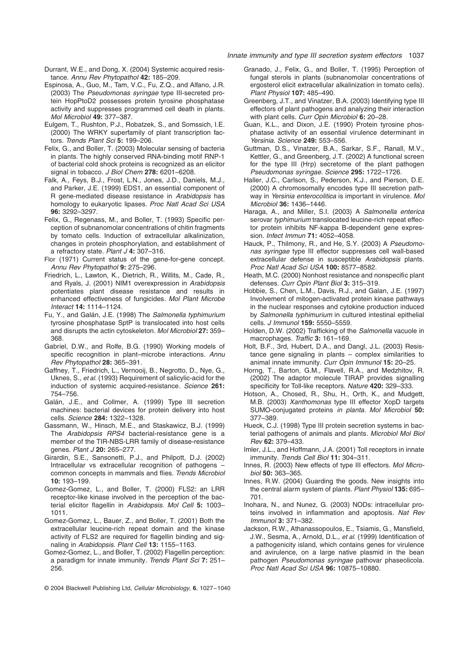Durrant, W.E., and Dong, X. (2004) Systemic acquired resistance. *Annu Rev Phytopathol* **42:** 185–209.

- Espinosa, A., Guo, M., Tam, V.C., Fu, Z.Q., and Alfano, J.R. (2003) The *Pseudomonas syringae* type III-secreted protein HopPtoD2 possesses protein tyrosine phosphatase activity and suppresses programmed cell death in plants. *Mol Microbiol* **49:** 377–387.
- Eulgem, T., Rushton, P.J., Robatzek, S., and Somssich, I.E. (2000) The WRKY superfamily of plant transcription factors. *Trends Plant Sci* **5:** 199–206.
- Felix, G., and Boller, T. (2003) Molecular sensing of bacteria in plants. The highly conserved RNA-binding motif RNP-1 of bacterial cold shock proteins is recognized as an elicitor signal in tobacco. *J Biol Chem* **278:** 6201–6208.
- Falk, A., Feys, B.J., Frost, L.N., Jones, J.D., Daniels, M.J., and Parker, J.E. (1999) EDS1, an essential component of R gene-mediated disease resistance in *Arabidopsis* has homology to eukaryotic lipases. *Proc Natl Acad Sci USA* **96:** 3292–3297.
- Felix, G., Regenass, M., and Boller, T. (1993) Specific perception of subnanomolar concentrations of chitin fragments by tomato cells. Induction of extracellular alkalinization, changes in protein phosphorylation, and establishment of a refractory state. *Plant J* **4:** 307–316.
- Flor (1971) Current status of the gene-for-gene concept. *Annu Rev Phytopathol* **9:** 275–296.
- Friedrich, L., Lawton, K., Dietrich, R., Willits, M., Cade, R., and Ryals, J. (2001) NIM1 overexpression in *Arabidopsis* potentiates plant disease resistance and results in enhanced effectiveness of fungicides. *Mol Plant Microbe Interact* **14:** 1114–1124.
- Fu, Y., and Galán, J.E. (1998) The *Salmonella typhimurium* tyrosine phosphatase SptP is translocated into host cells and disrupts the actin cytoskeleton. *Mol Microbiol* **27:** 359– 368.
- Gabriel, D.W., and Rolfe, B.G. (1990) Working models of specific recognition in plant–microbe interactions. *Annu Rev Phytopathol* **28:** 365–391.
- Gaffney, T., Friedrich, L., Vernooij, B., Negrotto, D., Nye, G., Uknes, S., *et al.* (1993) Requirement of salicylic-acid for the induction of systemic acquired-resistance. *Science* **261:** 754–756.
- Galán, J.E., and Collmer, A. (1999) Type III secretion machines: bacterial devices for protein delivery into host cells. *Science* **284:** 1322–1328.
- Gassmann, W., Hinsch, M.E., and Staskawicz, B.J. (1999) The *Arabidopsis RPS4* bacterial-resistance gene is a member of the TIR-NBS-LRR family of disease-resistance genes. *Plant J* **20:** 265–277.
- Girardin, S.E., Sansonetti, P.J., and Philpott, D.J. (2002) Intracellular vs extracellular recognition of pathogens common concepts in mammals and flies. *Trends Microbiol* **10:** 193–199.
- Gomez-Gomez, L., and Boller, T. (2000) FLS2: an LRR receptor-like kinase involved in the perception of the bacterial elicitor flagellin in *Arabidopsis*. *Mol Cell* **5:** 1003– 1011.
- Gomez-Gomez, L., Bauer, Z., and Boller, T. (2001) Both the extracellular leucine-rich repeat domain and the kinase activity of FLS2 are required for flagellin binding and signaling in *Arabidopsis*. *Plant Cell* **13:** 1155–1163.
- Gomez-Gomez, L., and Boller, T. (2002) Flagellin perception: a paradigm for innate immunity. *Trends Plant Sci* **7:** 251– 256.
- Granado, J., Felix, G., and Boller, T. (1995) Perception of fungal sterols in plants (subnanomolar concentrations of ergosterol elicit extracellular alkalinization in tomato cells). *Plant Physiol* **107:** 485–490.
- Greenberg, J.T., and Vinatzer, B.A. (2003) Identifying type III effectors of plant pathogens and analyzing their interaction with plant cells. *Curr Opin Microbiol* **6:** 20–28.
- Guan, K.L., and Dixon, J.E. (1990) Protein tyrosine phosphatase activity of an essential virulence determinant in *Yersinia*. *Science* **249:** 553–556.
- Guttman, D.S., Vinatzer, B.A., Sarkar, S.F., Ranall, M.V., Kettler, G., and Greenberg, J.T. (2002) A functional screen for the type III (Hrp) secretome of the plant pathogen *Pseudomonas syringae*. *Science* **295:** 1722–1726.
- Haller, J.C., Carlson, S., Pederson, K.J., and Pierson, D.E. (2000) A chromosomally encodes type III secretion pathway in *Yersinia enterocolitica* is important in virulence. *Mol Microbiol* **36:** 1436–1446.
- Haraga, A., and Miller, S.I. (2003) A *Salmonella enterica* serovar *typhimurium* translocated leucine-rich repeat effector protein inhibits NF-kappa B-dependent gene expression. *Infect Immun* **71:** 4052–4058.
- Hauck, P., Thilmony, R., and He, S.Y. (2003) A *Pseudomonas syringae* type III effector suppresses cell wall-based extracellular defense in susceptible *Arabidopsis* plants. *Proc Natl Acad Sci USA* **100:** 8577–8582.
- Heath, M.C. (2000) Nonhost resistance and nonspecific plant defenses. *Curr Opin Plant Biol* **3:** 315–319.
- Hobbie, S., Chen, L.M., Davis, R.J., and Galan, J.E. (1997) Involvement of mitogen-activated protein kinase pathways in the nuclear responses and cytokine production induced by *Salmonella typhimurium* in cultured intestinal epithelial cells. *J Immunol* **159:** 5550–5559.
- Holden, D.W. (2002) Trafficking of the *Salmonella* vacuole in macrophages. *Traffic* **3:** 161–169.
- Holt, B.F., 3rd, Hubert, D.A., and Dangl, J.L. (2003) Resistance gene signaling in plants – complex similarities to animal innate immunity. *Curr Opin Immunol* **15:** 20–25.
- Horng, T., Barton, G.M., Flavell, R.A., and Medzhitov, R. (2002) The adaptor molecule TIRAP provides signalling specificity for Toll-like receptors. *Nature* **420:** 329–333.
- Hotson, A., Chosed, R., Shu, H., Orth, K., and Mudgett, M.B. (2003) *Xanthomonas* type III effector XopD targets SUMO-conjugated proteins *in planta*. *Mol Microbiol* **50:** 377–389.
- Hueck, C.J. (1998) Type III protein secretion systems in bacterial pathogens of animals and plants. *Microbiol Mol Biol Rev* **62:** 379–433.
- Imler, J.L., and Hoffmann, J.A. (2001) Toll receptors in innate immunity. *Trends Cell Biol* **11:** 304–311.
- Innes, R. (2003) New effects of type III effectors. *Mol Microbiol* **50:** 363–365.
- Innes, R.W. (2004) Guarding the goods. New insights into the central alarm system of plants. *Plant Physiol* **135:** 695– 701.
- Inohara, N., and Nunez, G. (2003) NODs: intracellular proteins involved in inflammation and apoptosis. *Nat Rev Immunol* **3:** 371–382.
- Jackson, R.W., Athanassopoulos, E., Tsiamis, G., Mansfield, J.W., Sesma, A., Arnold, D.L., *et al.* (1999) Identification of a pathogenicity island, which contains genes for virulence and avirulence, on a large native plasmid in the bean pathogen *Pseudomonas syringae* pathovar phaseolicola. *Proc Natl Acad Sci USA* **96:** 10875–10880.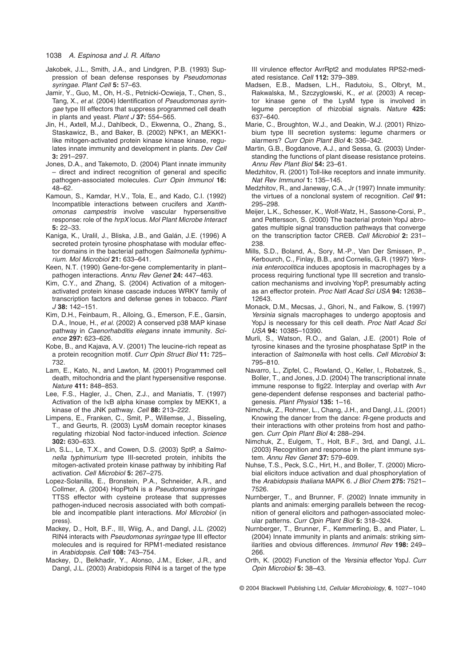- Jakobek, J.L., Smith, J.A., and Lindgren, P.B. (1993) Suppression of bean defense responses by *Pseudomonas syringae*. *Plant Cell* **5:** 57–63.
- Jamir, Y., Guo, M., Oh, H.-S., Petnicki-Ocwieja, T., Chen, S., Tang, X., *et al.* (2004) Identification of *Pseudomonas syringae* type III effectors that suppress programmed cell death in plants and yeast. *Plant J* **37:** 554–565.
- Jin, H., Axtell, M.J., Dahlbeck, D., Ekwenna, O., Zhang, S., Staskawicz, B., and Baker, B. (2002) NPK1, an MEKK1 like mitogen-activated protein kinase kinase kinase, regulates innate immunity and development in plants. *Dev Cell* **3:** 291–297.
- Jones, D.A., and Takemoto, D. (2004) Plant innate immunity – direct and indirect recognition of general and specific pathogen-associated molecules. *Curr Opin Immunol* **16:** 48–62.
- Kamoun, S., Kamdar, H.V., Tola, E., and Kado, C.I. (1992) Incompatible interactions between crucifers and *Xanthomonas campestris* involve vascular hypersensitive response: role of the *hrpX* locus. *Mol Plant Microbe Interact* **5:** 22–33.
- Kaniga, K., Uralil, J., Bliska, J.B., and Galán, J.E. (1996) A secreted protein tyrosine phosphatase with modular effector domains in the bacterial pathogen *Salmonella typhimurium*. *Mol Microbiol* **21:** 633–641.
- Keen, N.T. (1990) Gene-for-gene complementarity in plant– pathogen interactions. *Annu Rev Genet* **24:** 447–463.
- Kim, C.Y., and Zhang, S. (2004) Activation of a mitogenactivated protein kinase cascade induces WRKY family of transcription factors and defense genes in tobacco. *Plant J* **38:** 142–151.
- Kim, D.H., Feinbaum, R., Alloing, G., Emerson, F.E., Garsin, D.A., Inoue, H., *et al.* (2002) A conserved p38 MAP kinase pathway in *Caenorhabditis elegans* innate immunity. *Science* **297:** 623–626.
- Kobe, B., and Kajava, A.V. (2001) The leucine-rich repeat as a protein recognition motif. *Curr Opin Struct Biol* **11:** 725– 732.
- Lam, E., Kato, N., and Lawton, M. (2001) Programmed cell death, mitochondria and the plant hypersensitive response. *Nature* **411:** 848–853.
- Lee, F.S., Hagler, J., Chen, Z.J., and Maniatis, T. (1997) Activation of the  $I$ <sub>K</sub>B alpha kinase complex by MEKK1, a kinase of the JNK pathway. *Cell* **88:** 213–222.
- Limpens, E., Franken, C., Smit, P., Willemse, J., Bisseling, T., and Geurts, R. (2003) LysM domain receptor kinases regulating rhizobial Nod factor-induced infection. *Science* **302:** 630–633.
- Lin, S.L., Le, T.X., and Cowen, D.S. (2003) SptP, a *Salmonella typhimurium* type III-secreted protein, inhibits the mitogen-activated protein kinase pathway by inhibiting Raf activation. *Cell Microbiol* **5:** 267–275.
- Lopez-Solanilla, E., Bronstein, P.A., Schneider, A.R., and Collmer, A. (2004) HopPtoN is a *Pseudomonas syringae* TTSS effector with cysteine protease that suppresses pathogen-induced necrosis associated with both compatible and incompatible plant interactions. *Mol Microbiol* (in press).
- Mackey, D., Holt, B.F., III, Wiig, A., and Dangl, J.L. (2002) RIN4 interacts with *Pseudomonas syringae* type III effector molecules and is required for RPM1-mediated resistance in *Arabidopsis*. *Cell* **108:** 743–754.
- Mackey, D., Belkhadir, Y., Alonso, J.M., Ecker, J.R., and Dangl, J.L. (2003) Arabidopsis RIN4 is a target of the type

III virulence effector AvrRpt2 and modulates RPS2-mediated resistance. *Cell* **112:** 379–389.

- Madsen, E.B., Madsen, L.H., Radutoiu, S., Olbryt, M., Rakwalska, M., Szczyglowski, K., *et al.* (2003) A receptor kinase gene of the LysM type is involved in legume perception of rhizobial signals. *Nature* **425:** 637–640.
- Marie, C., Broughton, W.J., and Deakin, W.J. (2001) Rhizobium type III secretion systems: legume charmers or alarmers? *Curr Opin Plant Biol* **4:** 336–342.
- Martin, G.B., Bogdanove, A.J., and Sessa, G. (2003) Understanding the functions of plant disease resistance proteins. *Annu Rev Plant Biol* **54:** 23–61.
- Medzhitov, R. (2001) Toll-like receptors and innate immunity. *Nat Rev Immunol* **1:** 135–145.
- Medzhitov, R., and Janeway, C.A., Jr (1997) Innate immunity: the virtues of a nonclonal system of recognition. *Cell* **91:** 295–298.
- Meijer, L.K., Schesser, K., Wolf-Watz, H., Sassone-Corsi, P., and Pettersson, S. (2000) The bacterial protein YopJ abrogates multiple signal transduction pathways that converge on the transcription factor CREB. *Cell Microbiol* **2:** 231– 238.
- Mills, S.D., Boland, A., Sory, M.-P., Van Der Smissen, P., Kerbourch, C., Finlay, B.B., and Cornelis, G.R. (1997) *Yersinia enterocolitica* induces apoptosis in macrophages by a process requiring functional type III secretion and translocation mechanisms and involving YopP, presumably acting as an effector protein. *Proc Natl Acad Sci USA* **94:** 12638– 12643.
- Monack, D.M., Mecsas, J., Ghori, N., and Falkow, S. (1997) *Yersinia* signals macrophages to undergo apoptosis and YopJ is necessary for this cell death. *Proc Natl Acad Sci USA* **94:** 10385–10390.
- Murli, S., Watson, R.O., and Galan, J.E. (2001) Role of tyrosine kinases and the tyrosine phosphatase SptP in the interaction of *Salmonella* with host cells. *Cell Microbiol* **3:** 795–810.
- Navarro, L., Zipfel, C., Rowland, O., Keller, I., Robatzek, S., Boller, T., and Jones, J.D. (2004) The transcriptional innate immune response to flg22. Interplay and overlap with Avr gene-dependent defense responses and bacterial pathogenesis. *Plant Physiol* **135:** 1–16.
- Nimchuk, Z., Rohmer, L., Chang, J.H., and Dangl, J.L. (2001) Knowing the dancer from the dance: *R*-gene products and their interactions with other proteins from host and pathogen. *Curr Opin Plant Biol* **4:** 288–294.
- Nimchuk, Z., Eulgem, T., Holt, B.F., 3rd, and Dangl, J.L. (2003) Recognition and response in the plant immune system. *Annu Rev Genet* **37:** 579–609.
- Nuhse, T.S., Peck, S.C., Hirt, H., and Boller, T. (2000) Microbial elicitors induce activation and dual phosphorylation of the *Arabidopsis thaliana* MAPK 6. *J Biol Chem* **275:** 7521– 7526.
- Nurnberger, T., and Brunner, F. (2002) Innate immunity in plants and animals: emerging parallels between the recognition of general elicitors and pathogen-associated molecular patterns. *Curr Opin Plant Biol* **5:** 318–324.
- Nurnberger, T., Brunner, F., Kemmerling, B., and Piater, L. (2004) Innate immunity in plants and animals: striking similarities and obvious differences. *Immunol Rev* **198:** 249– 266.
- Orth, K. (2002) Function of the *Yersinia* effector YopJ. *Curr Opin Microbiol* **5:** 38–43.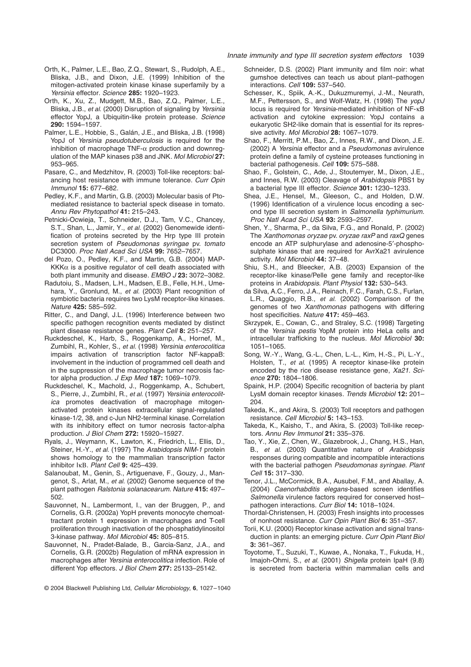- Orth, K., Palmer, L.E., Bao, Z.Q., Stewart, S., Rudolph, A.E., Bliska, J.B., and Dixon, J.E. (1999) Inhibition of the mitogen-activated protein kinase kinase superfamily by a *Yersinia* effector. *Science* **285:** 1920–1923.
- Orth, K., Xu, Z., Mudgett, M.B., Bao, Z.Q., Palmer, L.E., Bliska, J.B., *et al.* (2000) Disruption of signaling by *Yersinia* effector YopJ, a Ubiquitin-like protein protease. *Science* **290:** 1594–1597.
- Palmer, L.E., Hobbie, S., Galán, J.E., and Bliska, J.B. (1998) YopJ of *Yersinia pseudotuberculosis* is required for the inhibition of macrophage TNF- $\alpha$  production and downregulation of the MAP kinases p38 and JNK. *Mol Microbiol* **27:** 953–965.
- Pasare, C., and Medzhitov, R. (2003) Toll-like receptors: balancing host resistance with immune tolerance. *Curr Opin Immunol* **15:** 677–682.
- Pedley, K.F., and Martin, G.B. (2003) Molecular basis of Ptomediated resistance to bacterial speck disease in tomato. *Annu Rev Phytopathol* **41:** 215–243.
- Petnicki-Ocwieja, T., Schneider, D.J., Tam, V.C., Chancey, S.T., Shan, L., Jamir, Y., *et al.* (2002) Genomewide identification of proteins secreted by the Hrp type III protein secretion system of *Pseudomonas syringae* pv. *tomato* DC3000. *Proc Natl Acad Sci USA* **99:** 7652–7657.
- del Pozo, O., Pedley, K.F., and Martin, G.B. (2004) MAP- $KKK\alpha$  is a positive regulator of cell death associated with both plant immunity and disease. *EMBO J* **23:** 3072–3082.
- Radutoiu, S., Madsen, L.H., Madsen, E.B., Felle, H.H., Umehara, Y., Gronlund, M., *et al.* (2003) Plant recognition of symbiotic bacteria requires two LysM receptor-like kinases. *Nature* **425:** 585–592.
- Ritter, C., and Dangl, J.L. (1996) Interference between two specific pathogen recognition events mediated by distinct plant disease resistance genes. *Plant Cell* **8:** 251–257.
- Ruckdeschel, K., Harb, S., Roggenkamp, A., Hornef, M., Zumbihl, R., Kohler, S., *et al.* (1998) *Yersinia enterocolitica* impairs activation of transcription factor NF-kappaB: involvement in the induction of programmed cell death and in the suppression of the macrophage tumor necrosis factor alpha production. *J Exp Med* **187:** 1069–1079.
- Ruckdeschel, K., Machold, J., Roggenkamp, A., Schubert, S., Pierre, J., Zumbihl, R., *et al.* (1997) *Yersinia enterocolitica* promotes deactivation of macrophage mitogenactivated protein kinases extracellular signal-regulated kinase-1/2, 38, and c-Jun NH2-terminal kinase. Correlation with its inhibitory effect on tumor necrosis factor-alpha production. *J Biol Chem* **272:** 15920–15927.
- Ryals, J., Weymann, K., Lawton, K., Friedrich, L., Ellis, D., Steiner, H.-Y., *et al.* (1997) The *Arabidopsis NIM-1* protein shows homology to the mammalian transcription factor inhibitor IkB. *Plant Cell* **9:** 425–439.
- Salanoubat, M., Genin, S., Artiguenave, F., Gouzy, J., Mangenot, S., Arlat, M., *et al.* (2002) Genome sequence of the plant pathogen *Ralstonia solanacearum*. *Nature* **415:** 497– 502.
- Sauvonnet, N., Lambermont, I., van der Bruggen, P., and Cornelis, G.R. (2002a) YopH prevents monocyte chemoattractant protein 1 expression in macrophages and T-cell proliferation through inactivation of the phosphatidylinositol 3-kinase pathway. *Mol Microbiol* **45:** 805–815.
- Sauvonnet, N., Pradet-Balade, B., Garcia-Sanz, J.A., and Cornelis, G.R. (2002b) Regulation of mRNA expression in macrophages after *Yersinia enterocolitica* infection. Role of different Yop effectors. *J Biol Chem* **277:** 25133–25142.
- © 2004 Blackwell Publishing Ltd, *Cellular Microbiology*, **6**, 1027–1040
- Schneider, D.S. (2002) Plant immunity and film noir: what gumshoe detectives can teach us about plant–pathogen interactions. *Cell* **109:** 537–540.
- Schesser, K., Spiik, A.-K., Dukuzmuremyi, J.-M., Neurath, M.F., Pettersson, S., and Wolf-Watz, H. (1998) The *yopJ* locus is required for *Yersinia*-mediated inhibition of NF-kB activation and cytokine expression: YopJ contains a eukaryotic SH2-like domain that is essential for its repressive activity. *Mol Microbiol* **28:** 1067–1079.
- Shao, F., Merritt, P.M., Bao, Z., Innes, R.W., and Dixon, J.E. (2002) A *Yersinia* effector and a *Pseudomonas* avirulence protein define a family of cysteine proteases functioning in bacterial pathogenesis. *Cell* **109:** 575–588.
- Shao, F., Golstein, C., Ade, J., Stoutemyer, M., Dixon, J.E., and Innes, R.W. (2003) Cleavage of *Arabidopsis* PBS1 by a bacterial type III effector. *Science* **301:** 1230–1233.
- Shea, J.E., Hensel, M., Gleeson, C., and Holden, D.W. (1996) Identification of a virulence locus encoding a second type III secretion system in *Salmonella typhimurium*. *Proc Natl Acad Sci USA* **93:** 2593–2597.
- Shen, Y., Sharma, P., da Silva, F.G., and Ronald, P. (2002) The *Xanthomonas oryzae* pv. *oryzae raxP* and *raxQ* genes encode an ATP sulphurylase and adenosine-5'-phosphosulphate kinase that are required for AvrXa21 avirulence activity. *Mol Microbiol* **44:** 37–48.
- Shiu, S.H., and Bleecker, A.B. (2003) Expansion of the receptor-like kinase/Pelle gene family and receptor-like proteins in *Arabidopsis*. *Plant Physiol* **132:** 530–543.
- da Silva, A.C., Ferro, J.A., Reinach, F.C., Farah, C.S., Furlan, L.R., Quaggio, R.B., *et al.* (2002) Comparison of the genomes of two *Xanthomonas* pathogens with differing host specificities. *Nature* **417:** 459–463.
- Skrzypek, E., Cowan, C., and Straley, S.C. (1998) Targeting of the *Yersinia pestis* YopM protein into HeLa cells and intracellular trafficking to the nucleus. *Mol Microbiol* **30:** 1051–1065.
- Song, W.-Y., Wang, G.-L., Chen, L.-L., Kim, H.-S., Pi, L.-Y., Holsten, T., *et al.* (1995) A receptor kinase-like protein encoded by the rice disease resistance gene, *Xa21*. *Science* **270:** 1804–1806.
- Spaink, H.P. (2004) Specific recognition of bacteria by plant LysM domain receptor kinases. *Trends Microbiol* **12:** 201– 204.
- Takeda, K., and Akira, S. (2003) Toll receptors and pathogen resistance. *Cell Microbiol* **5:** 143–153.
- Takeda, K., Kaisho, T., and Akira, S. (2003) Toll-like receptors. *Annu Rev Immunol* **21:** 335–376.
- Tao, Y., Xie, Z., Chen, W., Glazebrook, J., Chang, H.S., Han, B., *et al.* (2003) Quantitative nature of *Arabidopsis* responses during compatible and incompatible interactions with the bacterial pathogen *Pseudomonas syringae*. *Plant Cell* **15:** 317–330.
- Tenor, J.L., McCormick, B.A., Ausubel, F.M., and Aballay, A. (2004) *Caenorhabditis elegans*-based screen identifies *Salmonella* virulence factors required for conserved host– pathogen interactions. *Curr Biol* **14:** 1018–1024.
- Thordal-Christensen, H. (2003) Fresh insights into processes of nonhost resistance. *Curr Opin Plant Biol* **6:** 351–357.
- Torii, K.U. (2000) Receptor kinase activation and signal transduction in plants: an emerging picture. *Curr Opin Plant Biol* **3:** 361–367.
- Toyotome, T., Suzuki, T., Kuwae, A., Nonaka, T., Fukuda, H., Imajoh-Ohmi, S., *et al.* (2001) *Shigella* protein IpaH (9.8) is secreted from bacteria within mammalian cells and